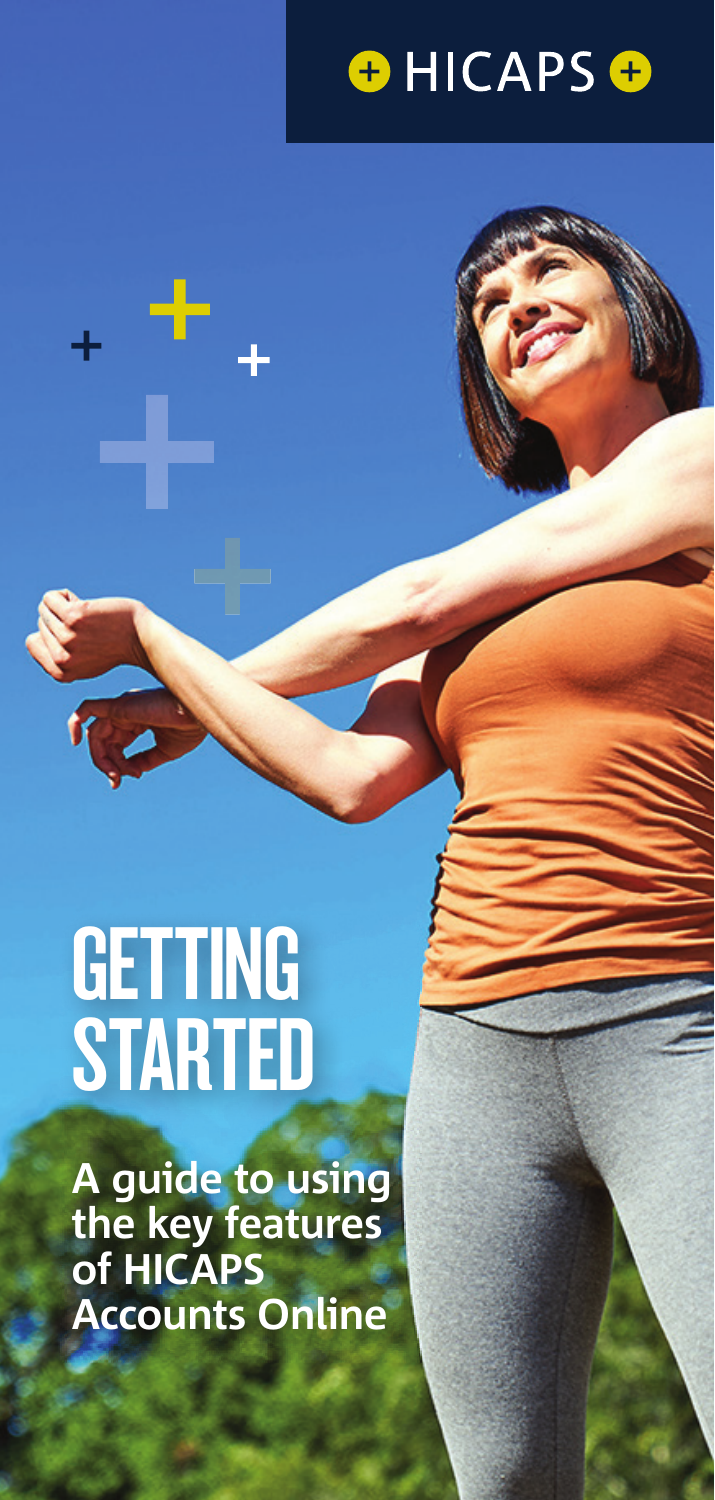

# GETTING STARTED

A guide to using **the key features of HICAPS Accounts Online**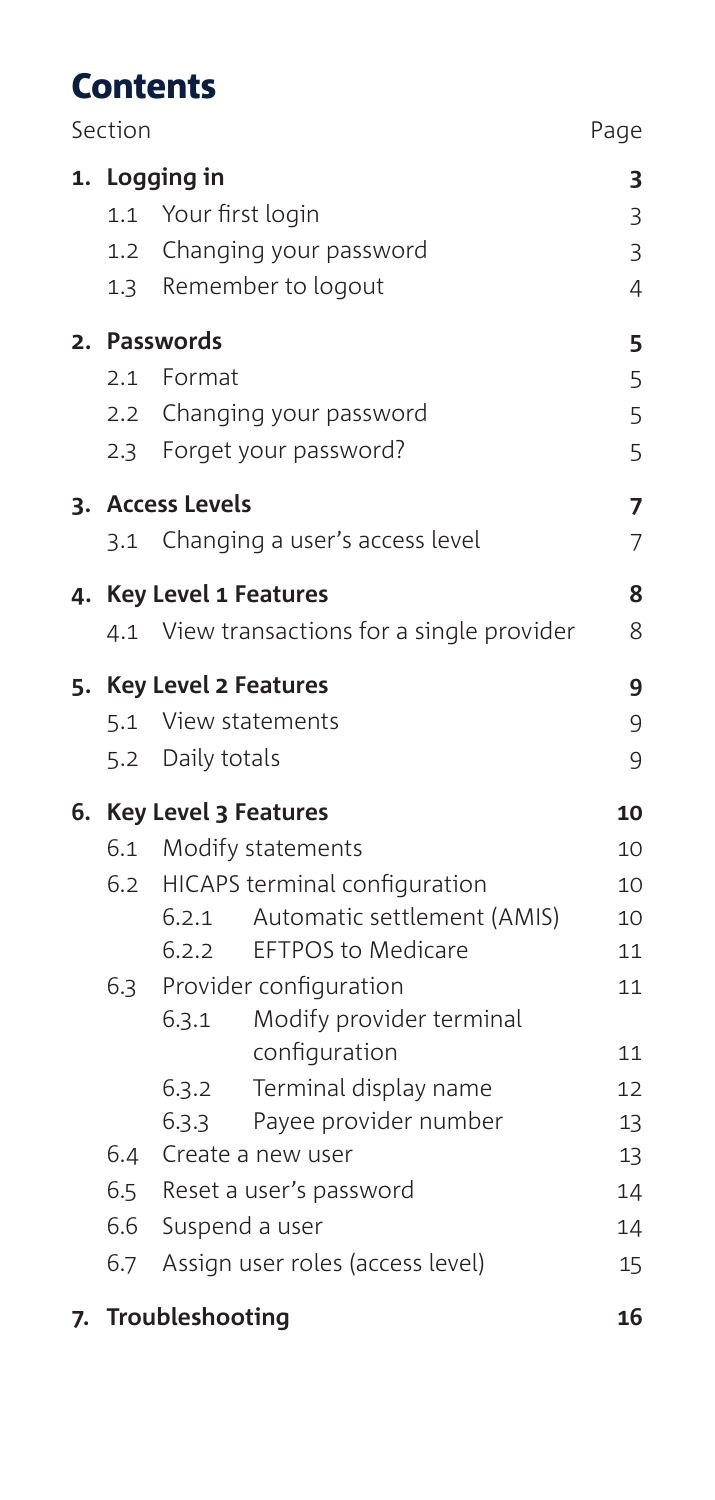## **Contents**

| Section           |                                                                                                                                                                                                                                  | Page                                   |
|-------------------|----------------------------------------------------------------------------------------------------------------------------------------------------------------------------------------------------------------------------------|----------------------------------------|
| 1.3               | 1. Logging in<br>1.1 Your first login<br>1.2 Changing your password<br>Remember to logout                                                                                                                                        | 3<br>3<br>3<br>$\overline{4}$          |
| 2.1<br>$2.3 -$    | 2. Passwords<br>Format<br>2.2 Changing your password<br>Forget your password?                                                                                                                                                    | 5<br>5<br>5<br>5                       |
|                   | 3. Access Levels<br>3.1 Changing a user's access level                                                                                                                                                                           | 7<br>7                                 |
|                   | 4. Key Level 1 Features<br>4.1 View transactions for a single provider                                                                                                                                                           | 8<br>8                                 |
|                   | 5. Key Level 2 Features<br>5.1 View statements<br>5.2 Daily totals                                                                                                                                                               | 9<br>9<br>9                            |
|                   | 6. Key Level 3 Features                                                                                                                                                                                                          | 10                                     |
| 6.3               | 6.1 Modify statements<br>6.2 HICAPS terminal configuration<br>Automatic settlement (AMIS)<br>6.2.1<br><b>EFTPOS to Medicare</b><br>6.2.2<br>Provider configuration                                                               | 10<br>10<br>10<br>11<br>11             |
| 6.4<br>6.6<br>6.7 | Modify provider terminal<br>6.3.1<br>configuration<br>Terminal display name<br>6.3.2<br>6.3.3<br>Payee provider number<br>Create a new user<br>6.5 Reset a user's password<br>Suspend a user<br>Assign user roles (access level) | 11<br>12<br>13<br>13<br>14<br>14<br>15 |
|                   |                                                                                                                                                                                                                                  |                                        |

**7. Troubleshooting 16**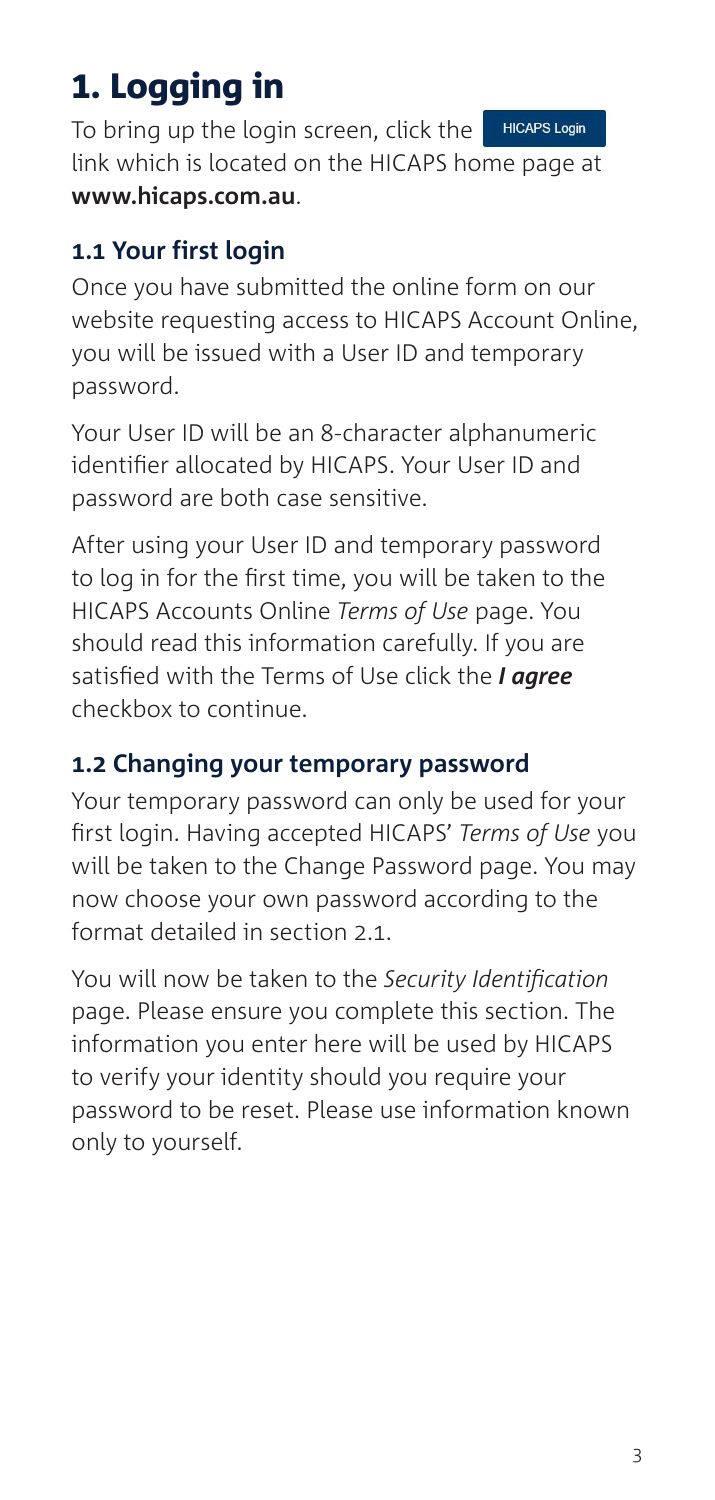# 1. Logging in

To bring up the login screen, click the **HICAPS Login** link which is located on the HICAPS home page at **www.hicaps.com.au**.

### **1.1 Your first login**

Once you have submitted the online form on our website requesting access to HICAPS Account Online, you will be issued with a User ID and temporary password.

Your User ID will be an 8-character alphanumeric identifier allocated by HICAPS. Your User ID and password are both case sensitive.

After using your User ID and temporary password to log in for the first time, you will be taken to the HICAPS Accounts Online *Terms of Use* page. You should read this information carefully. If you are satisfied with the Terms of Use click the *I agree* checkbox to continue.

### **1.2 Changing your temporary password**

Your temporary password can only be used for your first login. Having accepted HICAPS' *Terms of Use* you will be taken to the Change Password page. You may now choose your own password according to the format detailed in section 2.1.

You will now be taken to the *Security Identification* page. Please ensure you complete this section. The information you enter here will be used by HICAPS to verify your identity should you require your password to be reset. Please use information known only to yourself.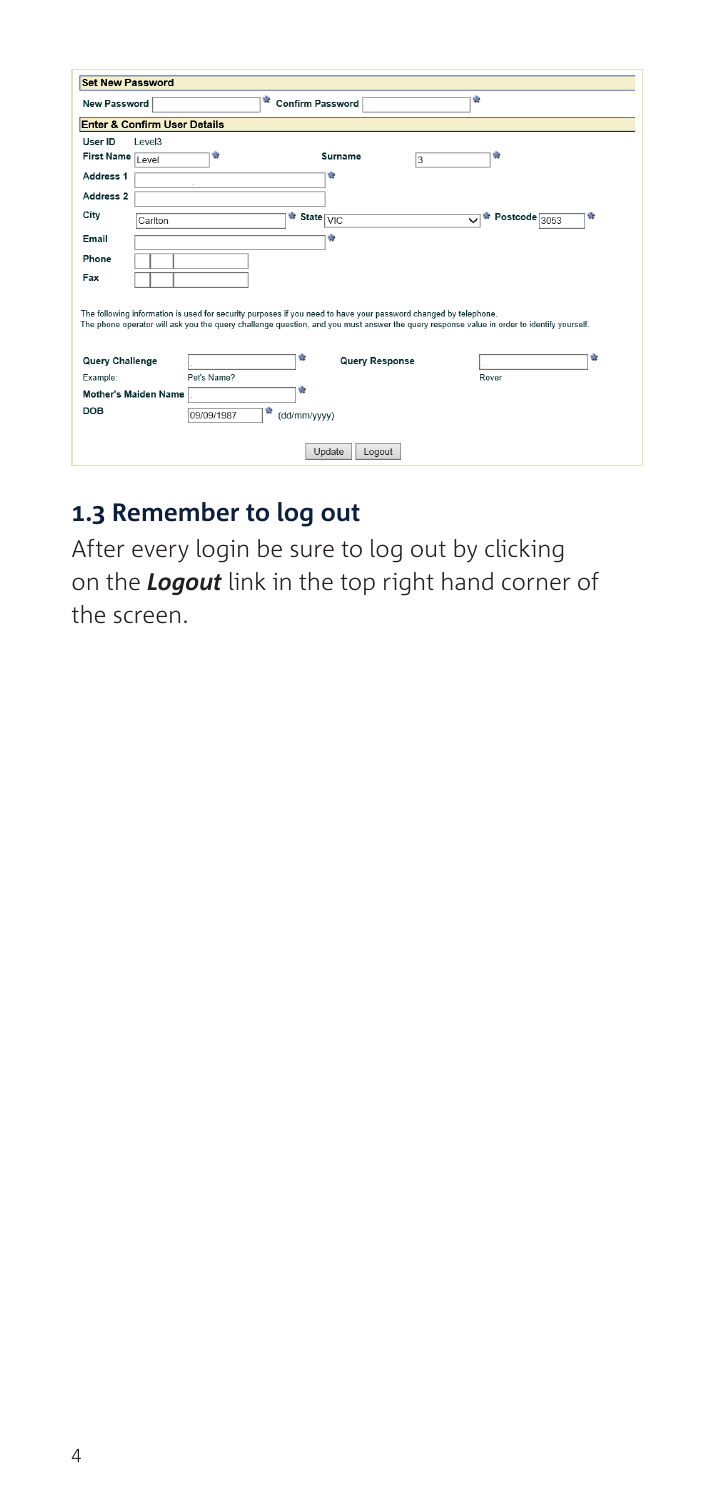| <b>Set New Password</b>                                                                                                                                                                                                                                      |                 |                            |                         |               |   |
|--------------------------------------------------------------------------------------------------------------------------------------------------------------------------------------------------------------------------------------------------------------|-----------------|----------------------------|-------------------------|---------------|---|
| <b>New Password</b>                                                                                                                                                                                                                                          | ÷               | <b>Confirm Password</b>    | ÷                       |               |   |
| <b>Enter &amp; Confirm User Details</b>                                                                                                                                                                                                                      |                 |                            |                         |               |   |
| User ID<br>I evel3                                                                                                                                                                                                                                           |                 |                            |                         |               |   |
| First Name Level                                                                                                                                                                                                                                             | ÷               | Surname                    | 3                       | ÷             |   |
| Address 1                                                                                                                                                                                                                                                    |                 | ÷                          |                         |               |   |
| Address 2                                                                                                                                                                                                                                                    |                 |                            |                         |               |   |
| City<br>Carlton                                                                                                                                                                                                                                              |                 | * State VIC                | $\overline{\mathsf{v}}$ | Postcode 3053 | ŵ |
| Email                                                                                                                                                                                                                                                        |                 | ÷                          |                         |               |   |
| Phone                                                                                                                                                                                                                                                        |                 |                            |                         |               |   |
| Fax                                                                                                                                                                                                                                                          |                 |                            |                         |               |   |
| The following information is used for security purposes if you need to have your password changed by telephone.<br>The phone operator will ask you the query challenge question, and you must answer the query response value in order to identify yourself. |                 |                            |                         |               |   |
| Query Challenge                                                                                                                                                                                                                                              |                 | ÷<br><b>Query Response</b> |                         |               | ÷ |
| Example:                                                                                                                                                                                                                                                     | Pet's Name?     |                            |                         | Rover         |   |
| <b>Mother's Maiden Name</b>                                                                                                                                                                                                                                  |                 | ŵ                          |                         |               |   |
| DOB                                                                                                                                                                                                                                                          | ŵ<br>09/09/1987 | (dd/mm/yyyy)               |                         |               |   |
|                                                                                                                                                                                                                                                              |                 | Update<br>Logout           |                         |               |   |

#### **1.3 Remember to log out**

After every login be sure to log out by clicking on the *Logout* link in the top right hand corner of the screen.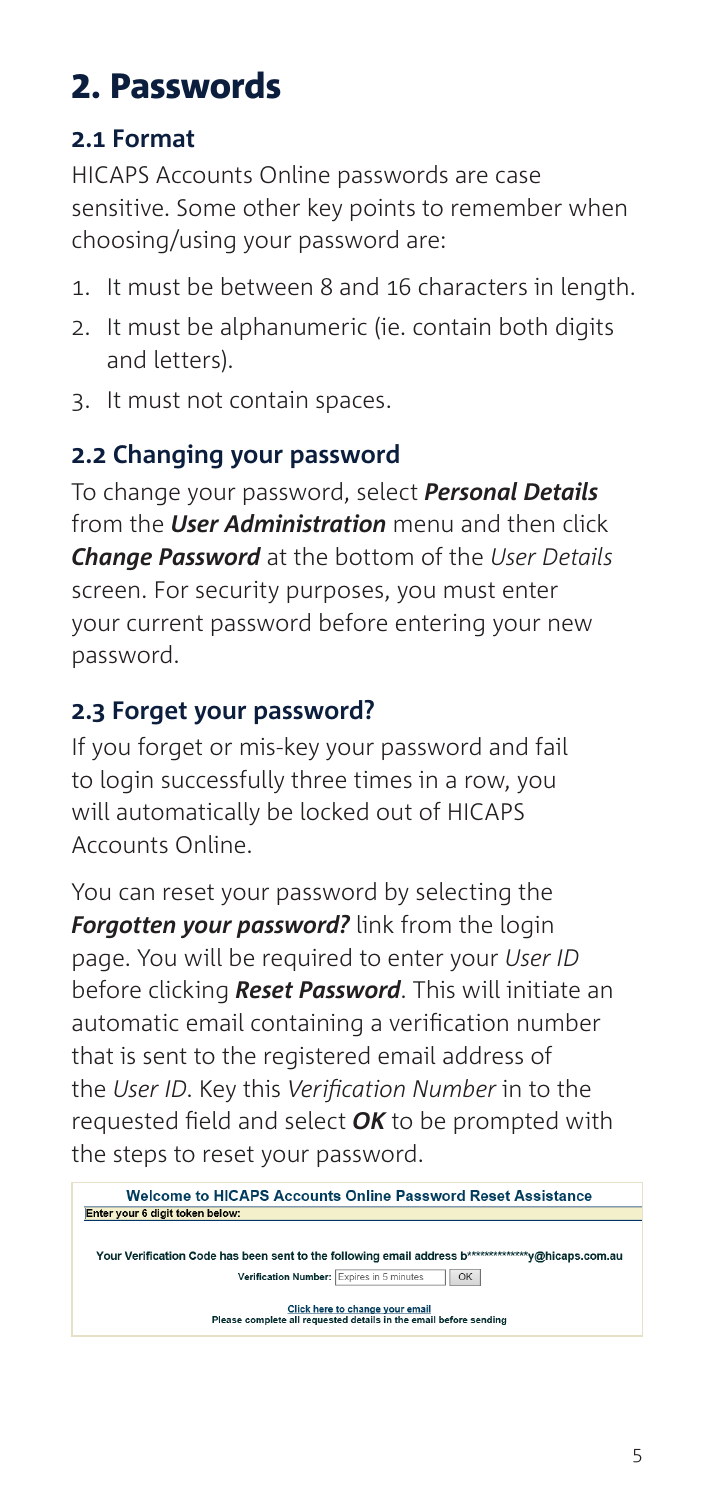# 2. Passwords

### **2.1 Format**

HICAPS Accounts Online passwords are case sensitive. Some other key points to remember when choosing/using your password are:

- 1. It must be between 8 and 16 characters in length.
- 2. It must be alphanumeric (ie. contain both digits and letters).
- 3. It must not contain spaces.

### **2.2 Changing your password**

To change your password, select *Personal Details* from the *User Administration* menu and then click *Change Password* at the bottom of the *User Details* screen. For security purposes, you must enter your current password before entering your new password.

### **2.3 Forget your password?**

If you forget or mis-key your password and fail to login successfully three times in a row, you will automatically be locked out of HICAPS Accounts Online.

You can reset your password by selecting the *Forgotten your password?* link from the login page. You will be required to enter your *User ID* before clicking *Reset Password*. This will initiate an automatic email containing a verification number that is sent to the registered email address of the *User ID*. Key this *Verification Number* in to the requested field and select *OK* to be prompted with the steps to reset your password.

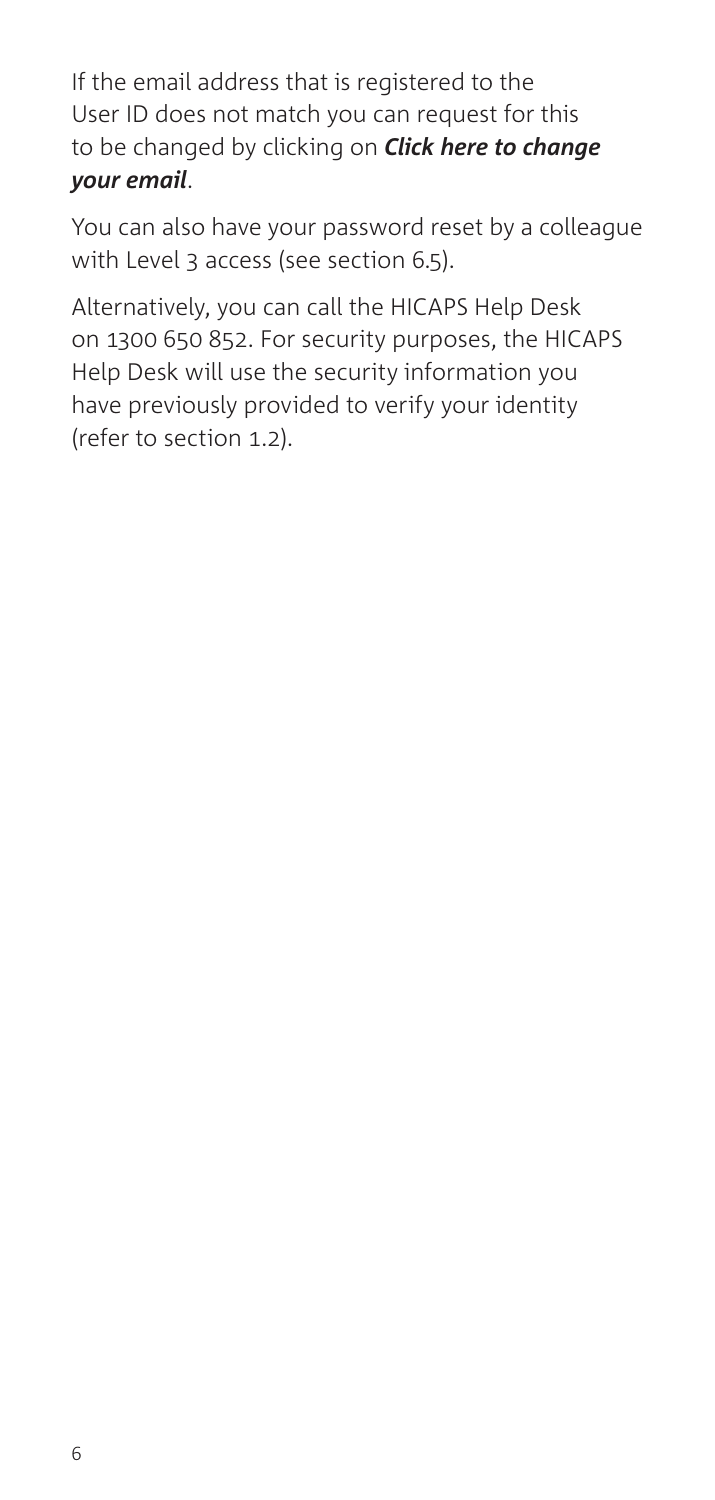If the email address that is registered to the User ID does not match you can request for this to be changed by clicking on *Click here to change your email*.

You can also have your password reset by a colleague with Level 3 access (see section 6.5).

Alternatively, you can call the HICAPS Help Desk on 1300 650 852. For security purposes, the HICAPS Help Desk will use the security information you have previously provided to verify your identity (refer to section 1.2).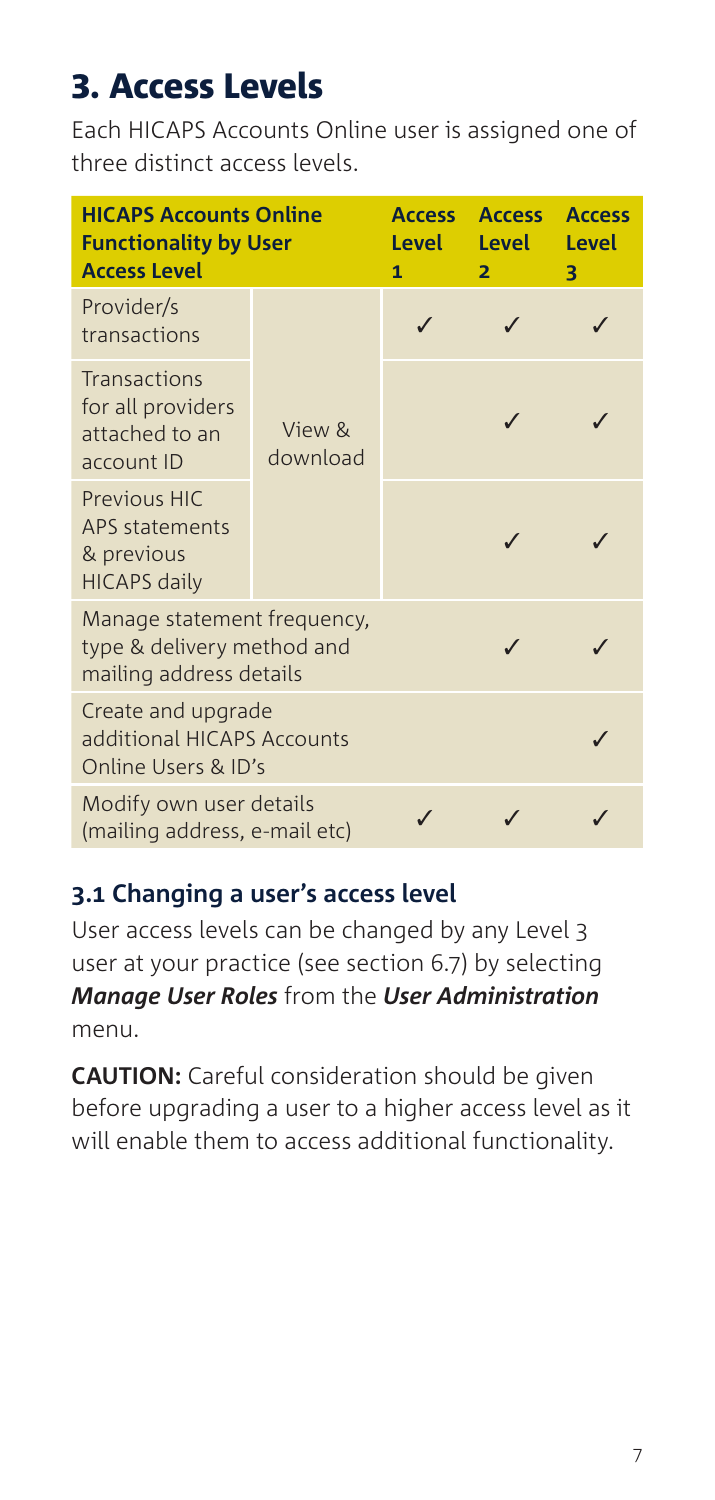# 3. Access Levels

Each HICAPS Accounts Online user is assigned one of three distinct access levels.

| <b>HICAPS Accounts Online</b><br><b>Functionality by User</b><br><b>Access Level</b> |                    | <b>Access</b><br>Level<br>1 | <b>Access</b><br><b>Level</b><br>$\overline{\mathbf{2}}$ | <b>Access</b><br>Level<br>З |
|--------------------------------------------------------------------------------------|--------------------|-----------------------------|----------------------------------------------------------|-----------------------------|
| Provider/s<br>transactions                                                           |                    |                             |                                                          |                             |
| Transactions<br>for all providers<br>attached to an<br>account ID                    | View &<br>download |                             |                                                          |                             |
| <b>Previous HIC</b><br>APS statements<br>& previous<br><b>HICAPS daily</b>           |                    |                             |                                                          |                             |
| Manage statement frequency,<br>type & delivery method and<br>mailing address details |                    |                             |                                                          |                             |
| Create and upgrade<br>additional HICAPS Accounts<br>Online Users & ID's              |                    |                             |                                                          |                             |
| Modify own user details<br>(mailing address, e-mail etc)                             |                    |                             |                                                          |                             |

### **3.1 Changing a user's access level**

User access levels can be changed by any Level 3 user at your practice (see section 6.7) by selecting *Manage User Roles* from the *User Administration* menu.

**CAUTION:** Careful consideration should be given before upgrading a user to a higher access level as it will enable them to access additional functionality.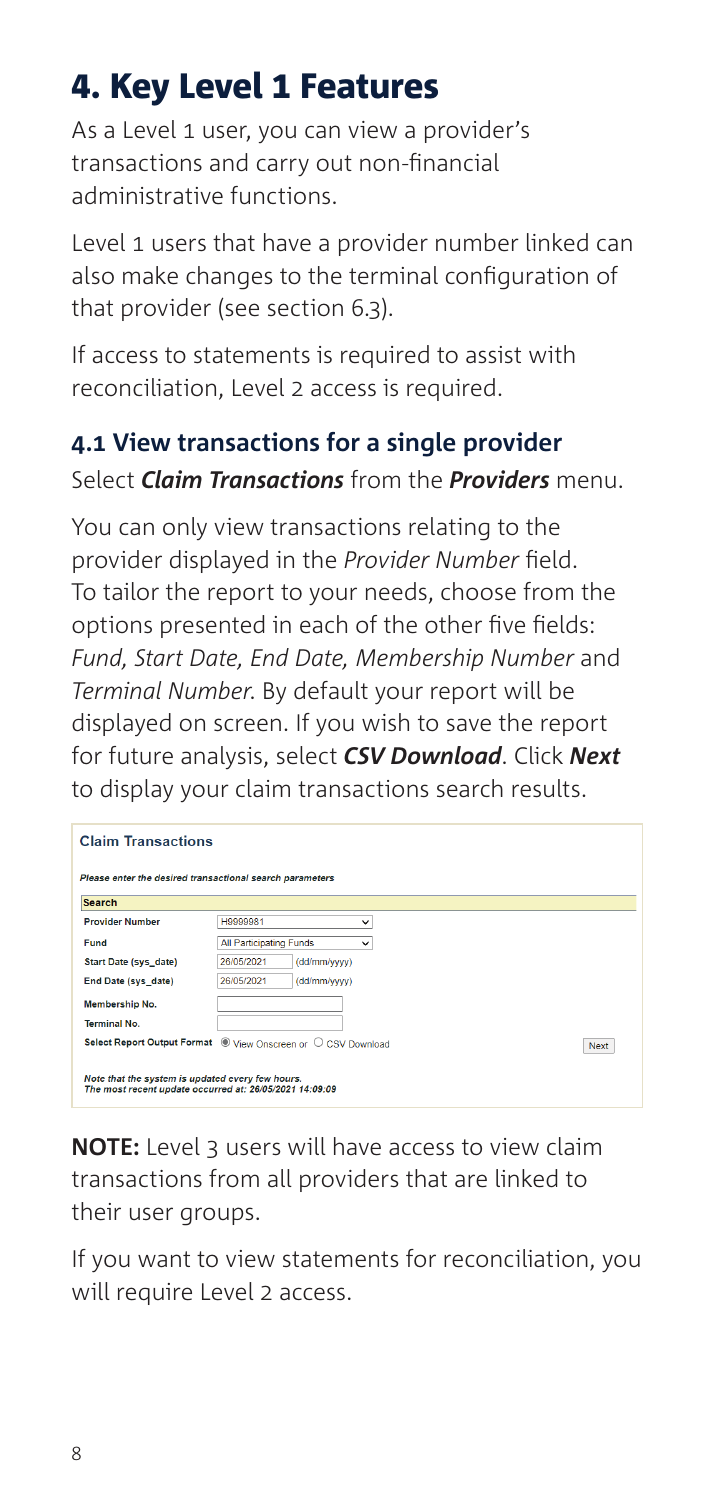# 4. Key Level 1 Features

As a Level 1 user, you can view a provider's transactions and carry out non-financial administrative functions.

Level 1 users that have a provider number linked can also make changes to the terminal configuration of that provider (see section 6.3).

If access to statements is required to assist with reconciliation, Level 2 access is required.

### **4.1 View transactions for a single provider** Select*Claim Transactions*fromthe*Providers*menu.

You can only view transactions relating to the provider displayed in the Provider Number field. To tailor the report to your needs, choose from the options presented in each of the other five fields: *Fund, Start Date, End Date, Membership Number*and Terminal Number. By default your report will be displayed on screen. If you wish to saye the report for future analysis, select **CSV Download**. Click Next to display your claim transactions search results.

| <b>Next</b> |
|-------------|
|             |

**NOTE:** Level 3 users will have access to view claim transactions from all providers that are linked to their user groups.

If you want to view statements for reconciliation, you will require Level 2 access.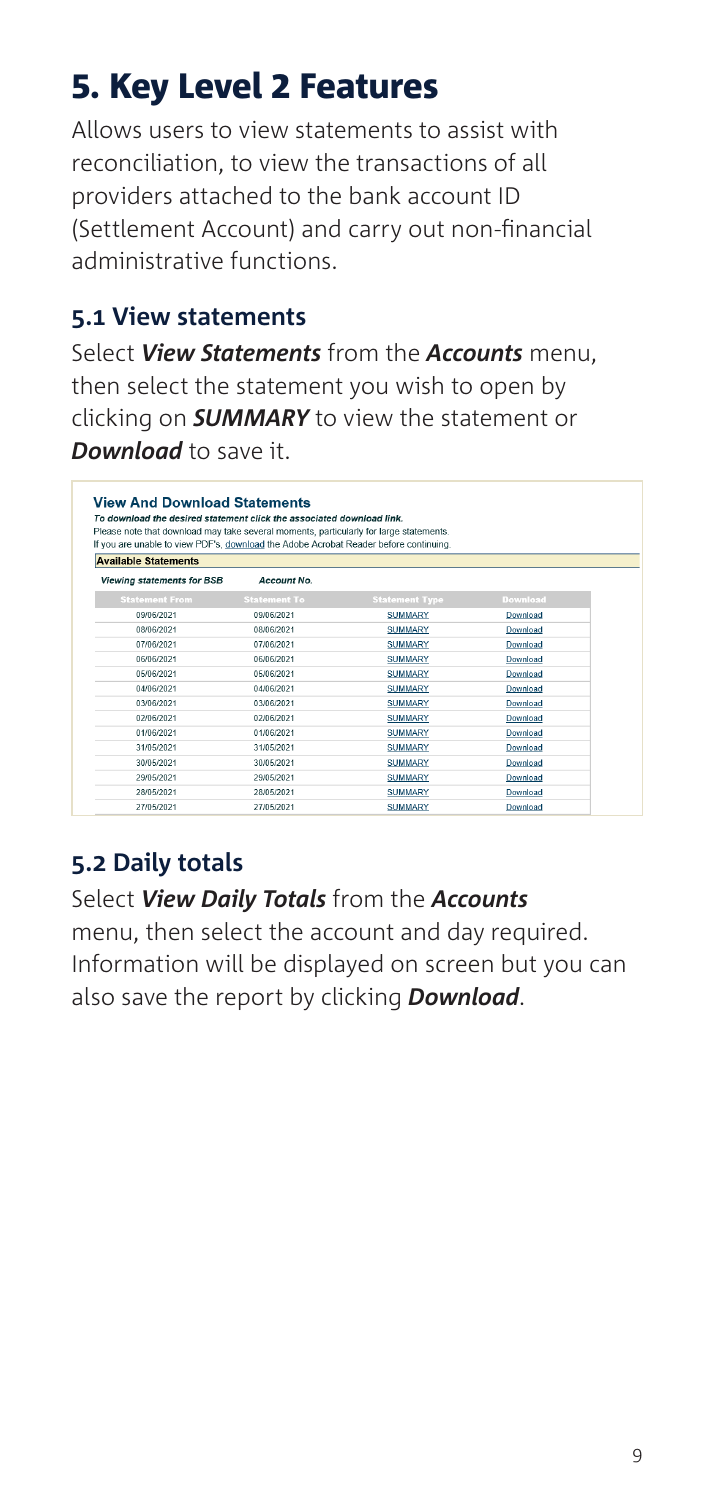# 5. Key Level 2 Features

Allows users to view statements to assist with reconciliation, to view the transactions of all providers attached to the bank account ID (Settlement Account) and carry out non-financial administrative functions.

#### **5.1 View statements**

Select *View Statements* from the *Accounts* menu, then select the statement you wish to open by clicking on *SUMMARY* to view the statement or *Download* to save it.

| <b>View And Download Statements</b><br>To download the desired statement click the associated download link.                                                                    |                     |                       |                 |
|---------------------------------------------------------------------------------------------------------------------------------------------------------------------------------|---------------------|-----------------------|-----------------|
| Please note that download may take several moments, particularly for large statements.<br>If you are unable to view PDF's, download the Adobe Acrobat Reader before continuing. |                     |                       |                 |
| <b>Available Statements</b>                                                                                                                                                     |                     |                       |                 |
| Viewing statements for BSB                                                                                                                                                      | Account No.         |                       |                 |
| <b>Statement From</b>                                                                                                                                                           | <b>Statement To</b> | <b>Statement Type</b> | <b>Download</b> |
| 09/06/2021                                                                                                                                                                      | 09/06/2021          | <b>SUMMARY</b>        | Download        |
| 08/06/2021                                                                                                                                                                      | 08/06/2021          | <b>SUMMARY</b>        | Download        |
| 07/06/2021                                                                                                                                                                      | 07/06/2021          | <b>SUMMARY</b>        | Download        |
| 06/06/2021                                                                                                                                                                      | 06/06/2021          | <b>SUMMARY</b>        | Download        |
| 05/06/2021                                                                                                                                                                      | 05/06/2021          | <b>SUMMARY</b>        | Download        |
| 04/06/2021                                                                                                                                                                      | 04/06/2021          | <b>SUMMARY</b>        | Download        |
| 03/06/2021                                                                                                                                                                      | 03/06/2021          | <b>SUMMARY</b>        | Download        |
| 02/06/2021                                                                                                                                                                      | 02/06/2021          | <b>SUMMARY</b>        | Download        |
| 01/06/2021                                                                                                                                                                      | 01/06/2021          | <b>SUMMARY</b>        | Download        |
| 31/05/2021                                                                                                                                                                      | 31/05/2021          | <b>SUMMARY</b>        | Download        |
| 30/05/2021                                                                                                                                                                      | 30/05/2021          | <b>SUMMARY</b>        | Download        |
| 29/05/2021                                                                                                                                                                      | 29/05/2021          | <b>SUMMARY</b>        | Download        |
| 28/05/2021                                                                                                                                                                      | 28/05/2021          | <b>SUMMARY</b>        | Download        |
| 27/05/2021                                                                                                                                                                      | 27/05/2021          | <b>SUMMARY</b>        | Download        |

### **5.2 Daily totals**

#### Select *View Daily Totals* from the *Accounts*

menu, then select the account and day required. Information will be displayed on screen but you can also save the report by clicking *Download*.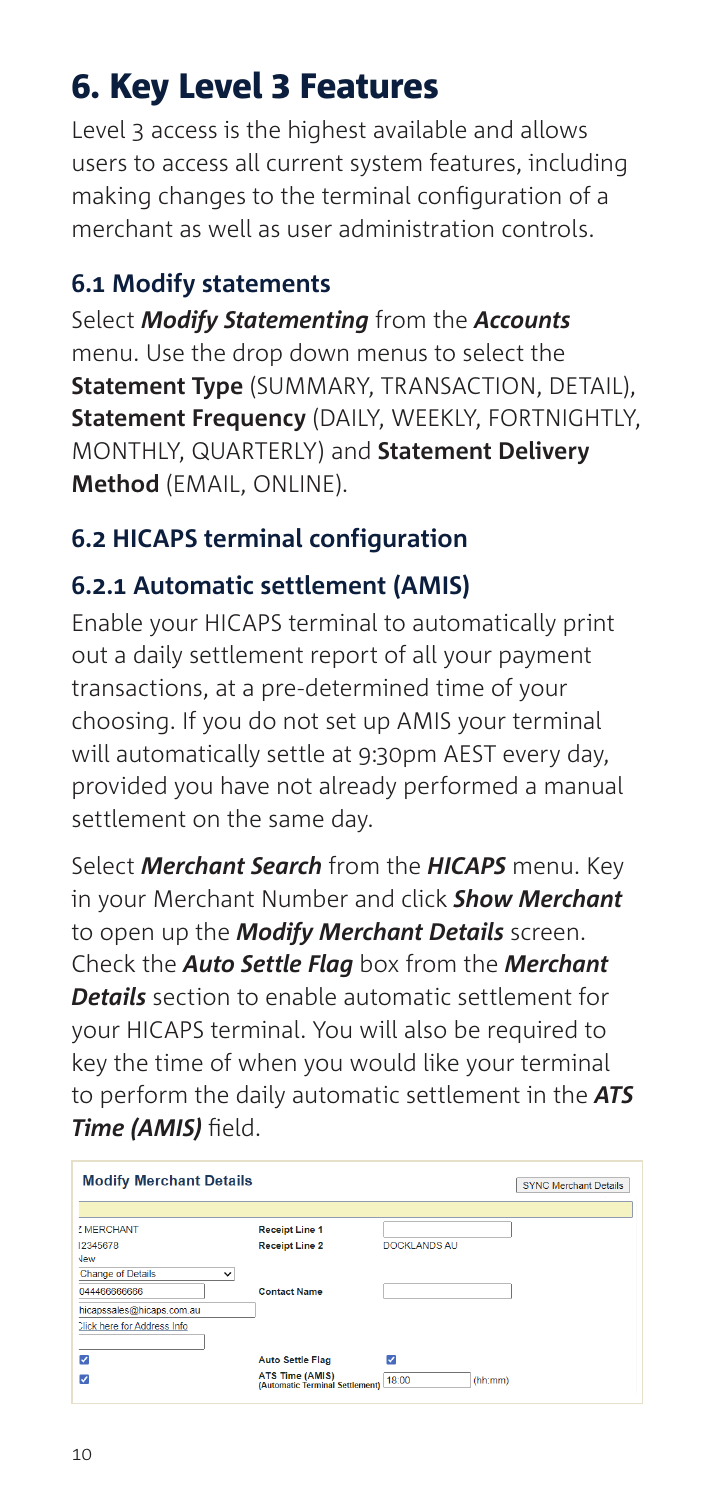# 6. Key Level 3 Features

Level 3 access is the highest available and allows users to access all current system features, including making changes to the terminal configuration of a merchant as well as user administration controls.

#### **6.1 Modify statements**

Select **Modify Statementing** from the **Accounts** menu. Use the drop down menus to select the **Statement Type** (SUMMARY, TRANSACTION, DETAIL), **Statement Frequency** (DAILY, WEEKLY, FORTNIGHTLY, **MONTHLY, QUARTERLY) and Statement Delivery Method**(EMAIL,ONLINE).

### **6.2 HICAPS terminal configuration**

#### **6.2.1 Automatic settlement (AMIS)**

Enable your HICAPS terminal to automatically print out a daily settlement report of all your payment transactions, at a pre-determined time of your choosing. If you do not set up AMIS your terminal will automatically settle at 9:30pm AEST every day. provided you have not already performed a manual settlement on the same day.

Select **Merchant Search** from the **HICAPS** menu. Key in your Merchant Number and click **Show Merchant** to open up the **Modify Merchant Details** screen. Check the **Auto Settle Flag** box from the **Merchant Details** section to enable automatic settlement for your HICAPS terminal. You will also be required to key the time of when you would like your terminal to perform the daily automatic settlement in the **ATS Time (AMIS)** field.

| <b>Modify Merchant Details</b>     |                                                    |                  | <b>SYNC Merchant Details</b> |
|------------------------------------|----------------------------------------------------|------------------|------------------------------|
| <sup>7</sup> MERCHANT              | <b>Receipt Line 1</b>                              |                  |                              |
| 12345678<br><b>Jew</b>             | <b>Receipt Line 2</b>                              | DOCKLANDS AU     |                              |
| <b>Change of Details</b>           | $\checkmark$                                       |                  |                              |
| 044466666666                       | <b>Contact Name</b>                                |                  |                              |
| hicapssales@hicaps.com.au          |                                                    |                  |                              |
| <b>Click here for Address Info</b> |                                                    |                  |                              |
| ⊽                                  | <b>Auto Settle Flag</b>                            | v                |                              |
| ⊽                                  | ATS Time (AMIS)<br>(Automatic Terminal Settlement) | 18:00<br>(hh:mm) |                              |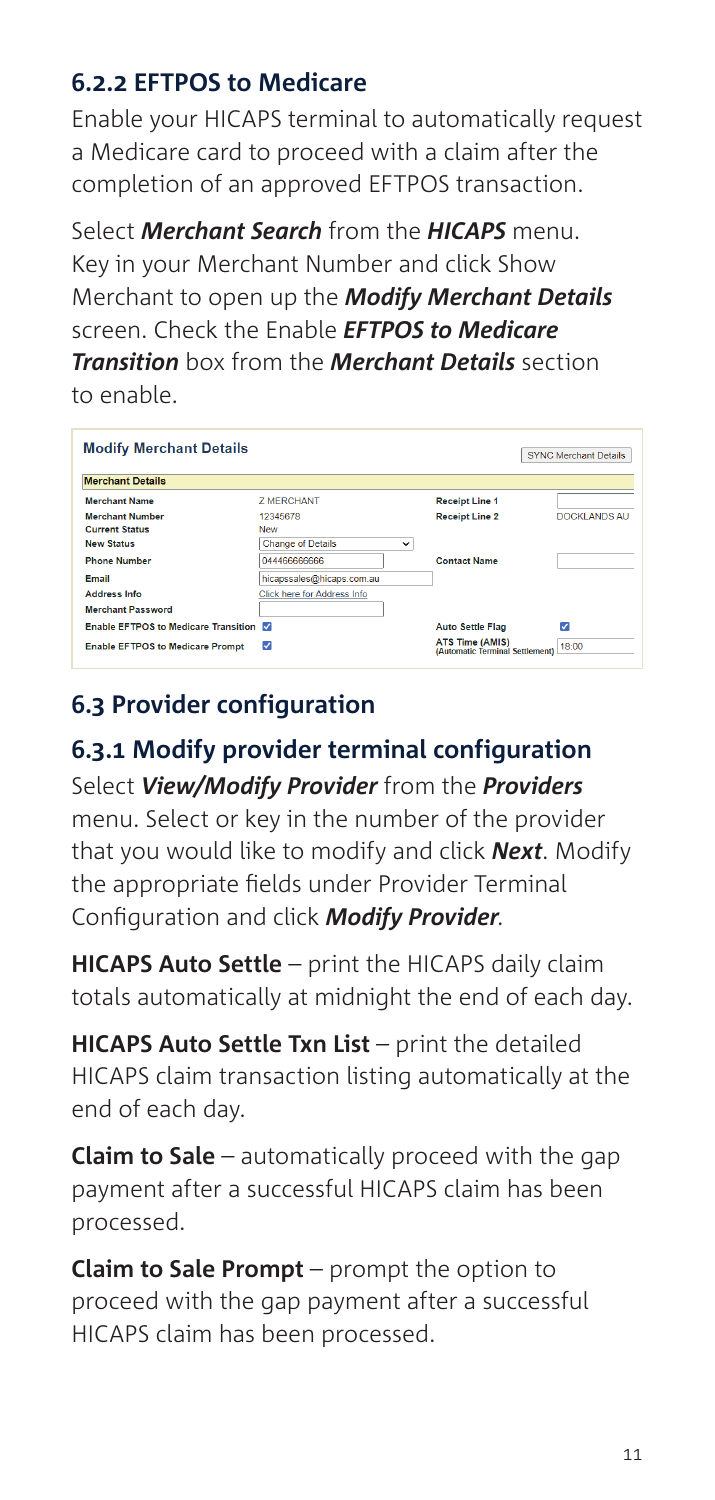### **6.2.2 EFTPOS to Medicare**

Enable your HICAPS terminal to automatically request a Medicare card to proceed with a claim after the completion of an approved EFTPOS transaction.

Select **Merchant Search** from the **HICAPS** menu. Key in your Merchant Number and click Show Merchant to open up the **Modify Merchant Details** screen. Check the Enable **FFTPOS to Medicare** *Transition* hox from the **Merchant Details** section to enable.

| <b>Modify Merchant Details</b>          |                             |              |                                                           | <b>SYNC Merchant Details</b> |
|-----------------------------------------|-----------------------------|--------------|-----------------------------------------------------------|------------------------------|
| <b>Merchant Details</b>                 |                             |              |                                                           |                              |
| <b>Merchant Name</b>                    | <b>7 MERCHANT</b>           |              | <b>Receipt Line 1</b>                                     |                              |
| <b>Merchant Number</b>                  | 12345678                    |              | <b>Receipt Line 2</b>                                     | DOCKLANDS AU                 |
| <b>Current Status</b>                   | New                         |              |                                                           |                              |
| <b>New Status</b>                       | <b>Change of Details</b>    | $\checkmark$ |                                                           |                              |
| <b>Phone Number</b>                     | 044466666666                |              | <b>Contact Name</b>                                       |                              |
| Email                                   | hicapssales@hicaps.com.au   |              |                                                           |                              |
| <b>Address Info</b>                     | Click here for Address Info |              |                                                           |                              |
| <b>Merchant Password</b>                |                             |              |                                                           |                              |
| Enable EFTPOS to Medicare Transition    |                             |              | <b>Auto Settle Flag</b>                                   | Ø                            |
| <b>Enable EFTPOS to Medicare Prompt</b> | ⊽                           |              | <b>ATS Time (AMIS)</b><br>(Automatic Terminal Settlement) | 18:00                        |

### **6.3 Provider configuration**

**6.3.1 Modify provider terminal configuration** Select*View/Modify Provider*fromthe*Providers* menu. Select or key in the number of the provider that you would like to modify and click **Next**. Modify the appropriate fields under Provider Terminal Configuration and click **Modify Provider.** 

**HICAPS Auto Settle** – print the HICAPS daily claim totals automatically at midnight the end of each day.

**HICAPS Auto Settle Txn List** – print the detailed HICAPS claim transaction listing automatically at the end of each day.

**Claim to Sale** – automatically proceed with the gap payment after a successful HICAPS claim has been processed.

**Claim to Sale Prompt** – prompt the option to proceed with the gap payment after a successful HICAPS claim has been processed.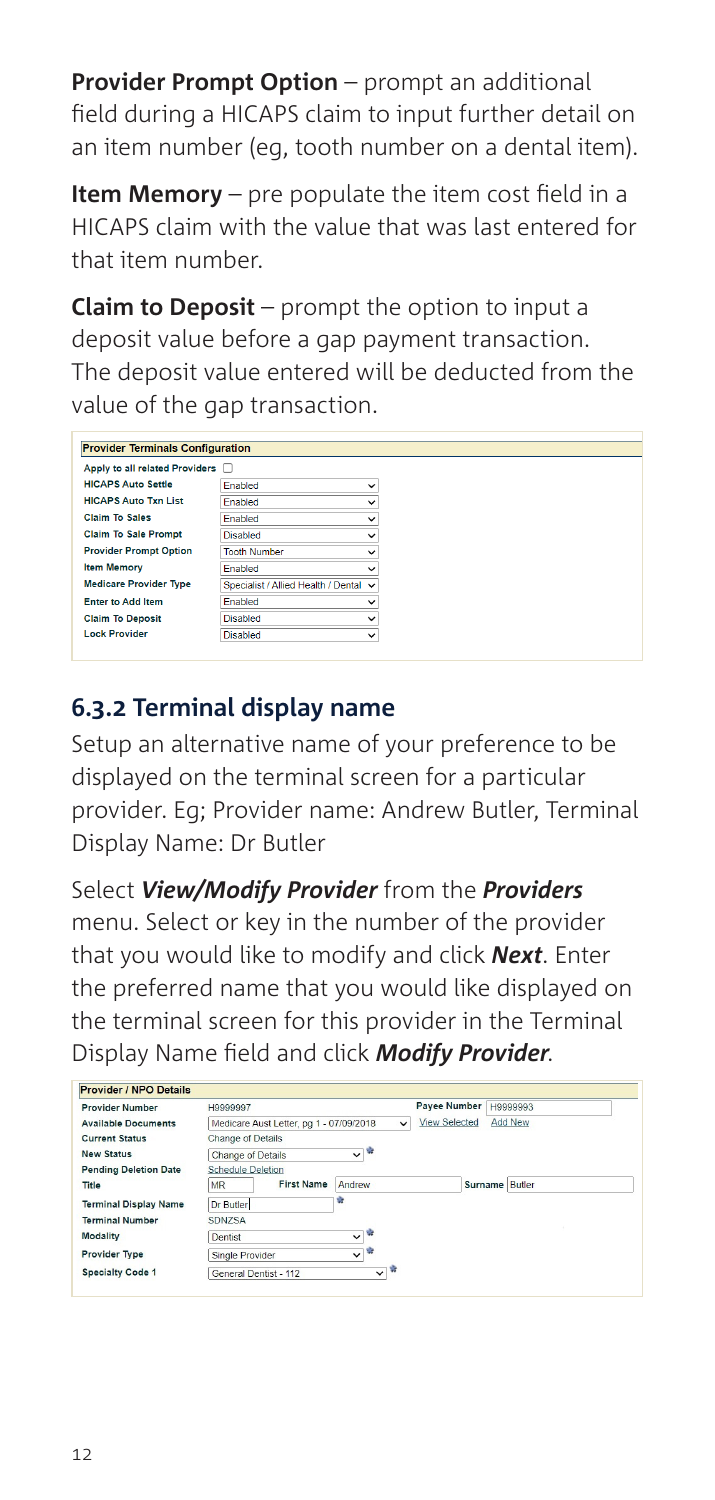**Provider Prompt Option** – prompt an additional field during a HICAPS claim to input further detail on an item number (eg, tooth number on a dental item).

**Item Memory** – pre populate the item cost field in a HICAPS claim with the value that was last entered for that item number.

**Claim to Deposit** – prompt the option to input a deposit value before a gap payment transaction. The deposit value entered will be deducted from the value of the gap transaction.

| <b>Provider Terminals Configuration</b> |                                       |              |
|-----------------------------------------|---------------------------------------|--------------|
| Apply to all related Providers          |                                       |              |
| <b>HICAPS Auto Settle</b>               | Enabled                               | $\checkmark$ |
| <b>HICAPS Auto Txn List</b>             | Enabled                               | $\check{ }$  |
| <b>Claim To Sales</b>                   | <b>Enabled</b>                        | $\checkmark$ |
| <b>Claim To Sale Prompt</b>             | <b>Disabled</b>                       | $\check{ }$  |
| <b>Provider Prompt Option</b>           | <b>Tooth Number</b>                   | $\check{ }$  |
| <b>Item Memory</b>                      | <b>Enabled</b>                        | $\checkmark$ |
| <b>Medicare Provider Type</b>           | Specialist / Allied Health / Dental v |              |
| <b>Enter to Add Item</b>                | <b>Enabled</b>                        | $\check{ }$  |
| <b>Claim To Deposit</b>                 | <b>Disabled</b>                       | $\check{ }$  |
| <b>Lock Provider</b>                    | <b>Disabled</b>                       | $\check{ }$  |

### **6.3.2 Terminal display name**

Setup an alternative name of your preference to be displayed on the terminal screen for a particular provider. Eg; Provider name: Andrew Butler, Terminal Display Name: Dr Butler

Select *View/Modify Provider* from the *Providers* menu. Select or key in the number of the provider that you would like to modify and click *Next*. Enter the preferred name that you would like displayed on the terminal screen for this provider in the Terminal Display Name field and click *Modify Provider*.

| <b>Provider Number</b>       | H9999997                                |                              | <b>Payee Number</b> | H9999993       |
|------------------------------|-----------------------------------------|------------------------------|---------------------|----------------|
| <b>Available Documents</b>   | Medicare Aust Letter, pg 1 - 07/09/2018 | $\check{ }$                  | View Selected       | Add New        |
| <b>Current Status</b>        | Change of Details                       |                              |                     |                |
| <b>New Status</b>            | <b>Change of Details</b>                | ▽≋                           |                     |                |
| <b>Pending Deletion Date</b> | <b>Schedule Deletion</b>                |                              |                     |                |
| Title                        | <b>First Name</b><br><b>MR</b>          | Andrew                       |                     | Surname Butler |
| <b>Terminal Display Name</b> | Dr Butler                               | ÷                            |                     |                |
| <b>Terminal Number</b>       | <b>SDNZSA</b>                           |                              |                     |                |
| <b>Modality</b>              | Dentist                                 | ÷<br>$\overline{\mathsf{v}}$ |                     |                |
| <b>Provider Type</b>         | Single Provider                         | ŵ<br>$\checkmark$            |                     |                |
| <b>Specialty Code 1</b>      | General Dentist - 112                   | ŵ<br>$\checkmark$            |                     |                |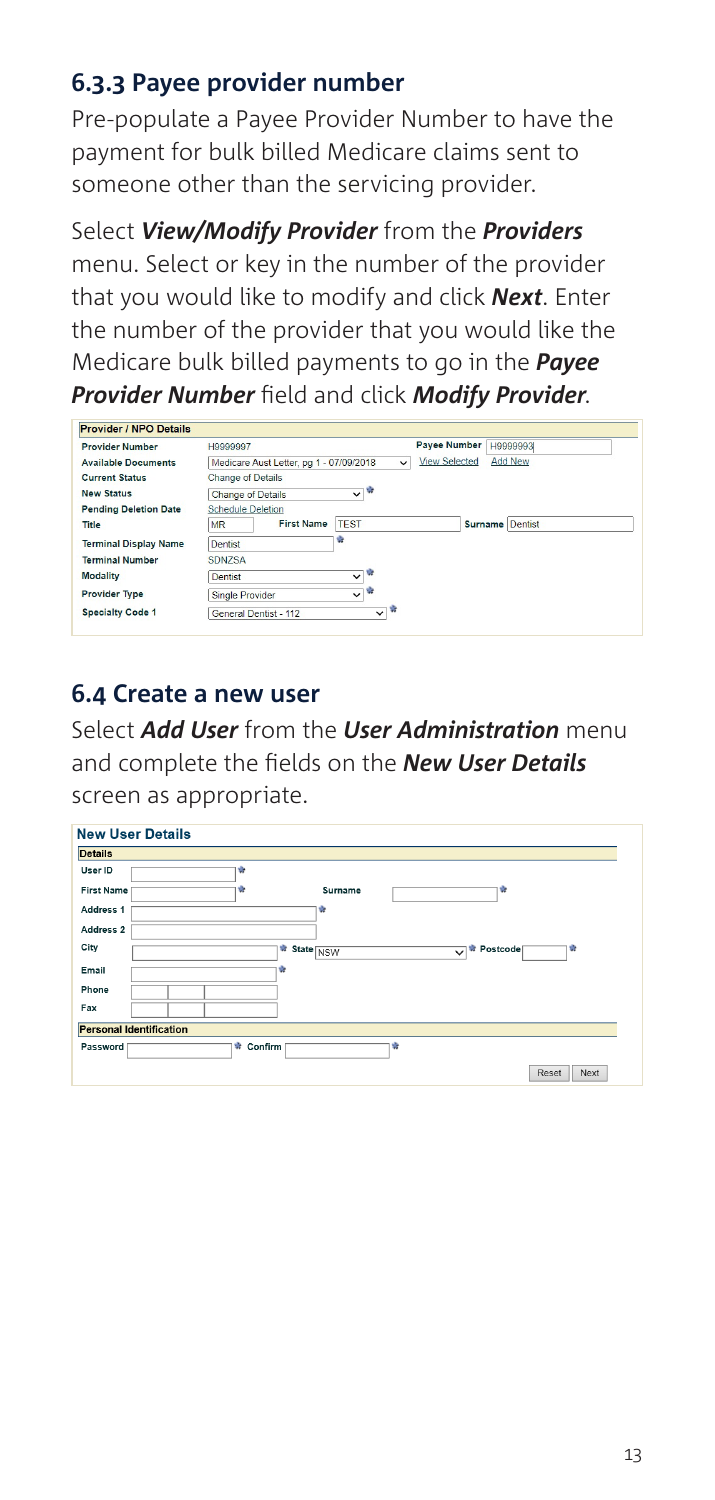#### **6.3.3 Payee provider number**

Pre-populate a Payee Provider Number to have the payment for bulk billed Medicare claims sent to someone other than the servicing provider.

Select *View/Modify Provider* from the *Providers* menu. Select or key in the number of the provider that you would like to modify and click *Next*. Enter the number of the provider that you would like the Medicare bulk billed payments to go in the *Payee Provider Number* field and click *Modify Provider*.

| <b>Provider / NPO Details</b> |                                         |                    |                      |                 |
|-------------------------------|-----------------------------------------|--------------------|----------------------|-----------------|
| <b>Provider Number</b>        | H9999997                                |                    | <b>Payee Number</b>  | H9999993L       |
| <b>Available Documents</b>    | Medicare Aust Letter, pg 1 - 07/09/2018 | $\checkmark$       | <b>View Selected</b> | <b>Add New</b>  |
| <b>Current Status</b>         | <b>Change of Details</b>                |                    |                      |                 |
| <b>New Status</b>             | <b>Change of Details</b>                | $\sim$ $^{\circ}$  |                      |                 |
| <b>Pending Deletion Date</b>  | <b>Schedule Deletion</b>                |                    |                      |                 |
| Title                         | <b>First Name</b><br><b>MR</b>          | <b>TEST</b>        |                      | Surname Dentist |
| <b>Terminal Display Name</b>  | <b>Dentist</b>                          | ÷                  |                      |                 |
| <b>Terminal Number</b>        | SDNZSA                                  |                    |                      |                 |
| <b>Modality</b>               | Dentist                                 | ŵ<br>$\checkmark$  |                      |                 |
| <b>Provider Type</b>          | Single Provider                         | v,<br>$\checkmark$ |                      |                 |
| <b>Specialty Code 1</b>       | General Dentist - 112                   | ŵ<br>$\checkmark$  |                      |                 |
|                               |                                         |                    |                      |                 |

### **6.4 Create a new user**

Select *Add User* from the *User Administration* menu and complete the fields on the *New User Details* screen as appropriate.

| <b>New User Details</b>        |                                                                          |
|--------------------------------|--------------------------------------------------------------------------|
| <b>Details</b>                 |                                                                          |
| User ID                        | ŵ                                                                        |
| <b>First Name</b>              | ŵ<br>Surname<br>ŵ                                                        |
| Address 1                      | ŵ                                                                        |
| Address 2                      |                                                                          |
| City                           | $\frac{1}{N}$ State $\sqrt{\text{NSW}}$<br>÷<br>Postcode<br>$\checkmark$ |
| Email                          | ŵ                                                                        |
| Phone                          |                                                                          |
| Fax                            |                                                                          |
| <b>Personal Identification</b> |                                                                          |
| Password                       | ŵ<br>Confirm<br>ŵ                                                        |
|                                | Reset<br>Next                                                            |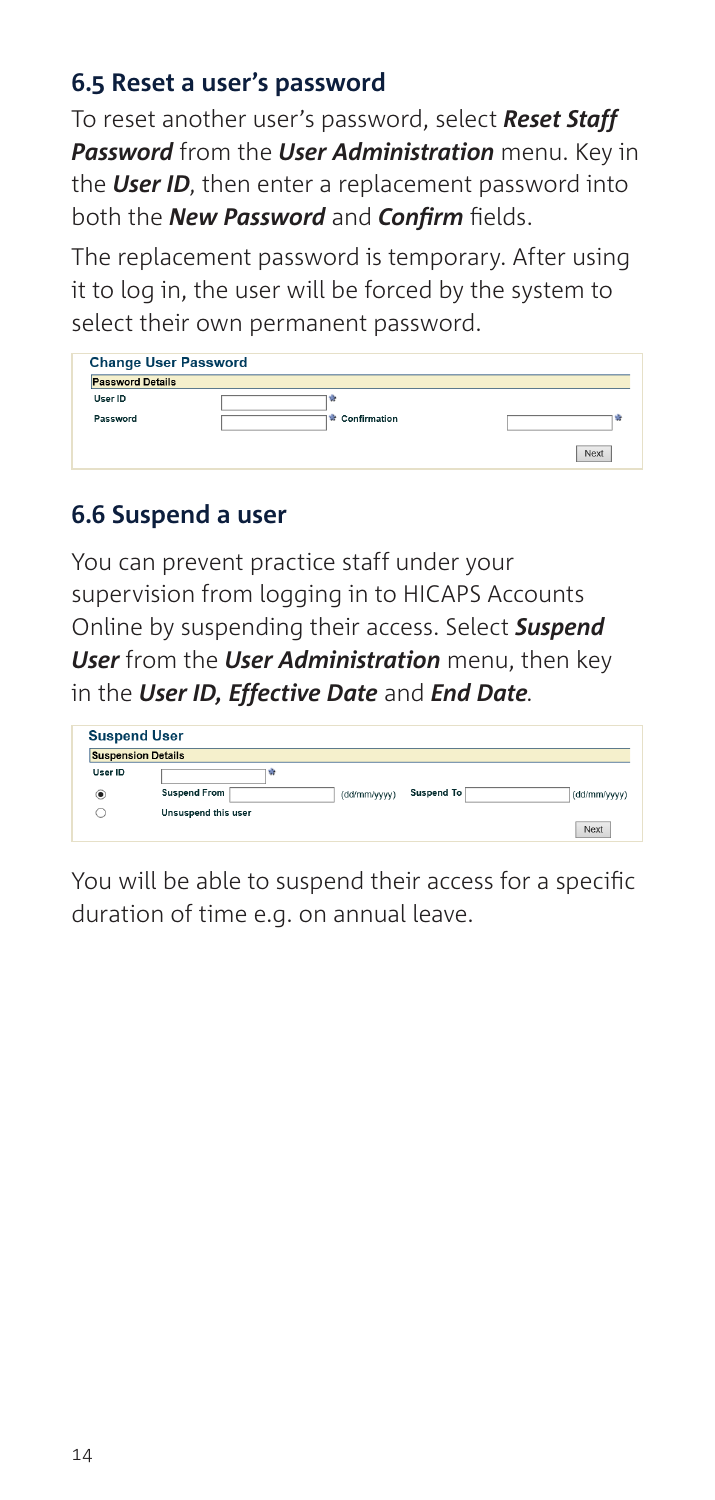#### **6.5 Reset a user's password**

To reset another user's password, select *Reset Staff Password* from the *User Administration* menu. Key in the *User ID*, then enter a replacement password into both the *New Password* and *Confirm* fields.

The replacement password is temporary. After using it to log in, the user will be forced by the system to select their own permanent password.

| <b>Password Details</b> |              |   |
|-------------------------|--------------|---|
| User ID                 | v            |   |
| Password                | Confirmation | ٠ |

### **6.6 Suspend a user**

You can prevent practice staff under your supervision from logging in to HICAPS Accounts Online by suspending their access. Select *Suspend User* from the *User Administration* menu, then key in the *User ID, Effective Date* and *End Date.*

| <b>Suspend User</b><br><b>Suspension Details</b> |                     |                            |              |  |  |  |  |  |
|--------------------------------------------------|---------------------|----------------------------|--------------|--|--|--|--|--|
|                                                  |                     |                            |              |  |  |  |  |  |
| $^\circled{\bullet}$                             | <b>Suspend From</b> | Suspend To<br>(dd/mm/yyyy) | (dd/mm/yyyy) |  |  |  |  |  |
|                                                  | Unsuspend this user |                            |              |  |  |  |  |  |

You will be able to suspend their access for a specific duration of time e.g. on annual leave.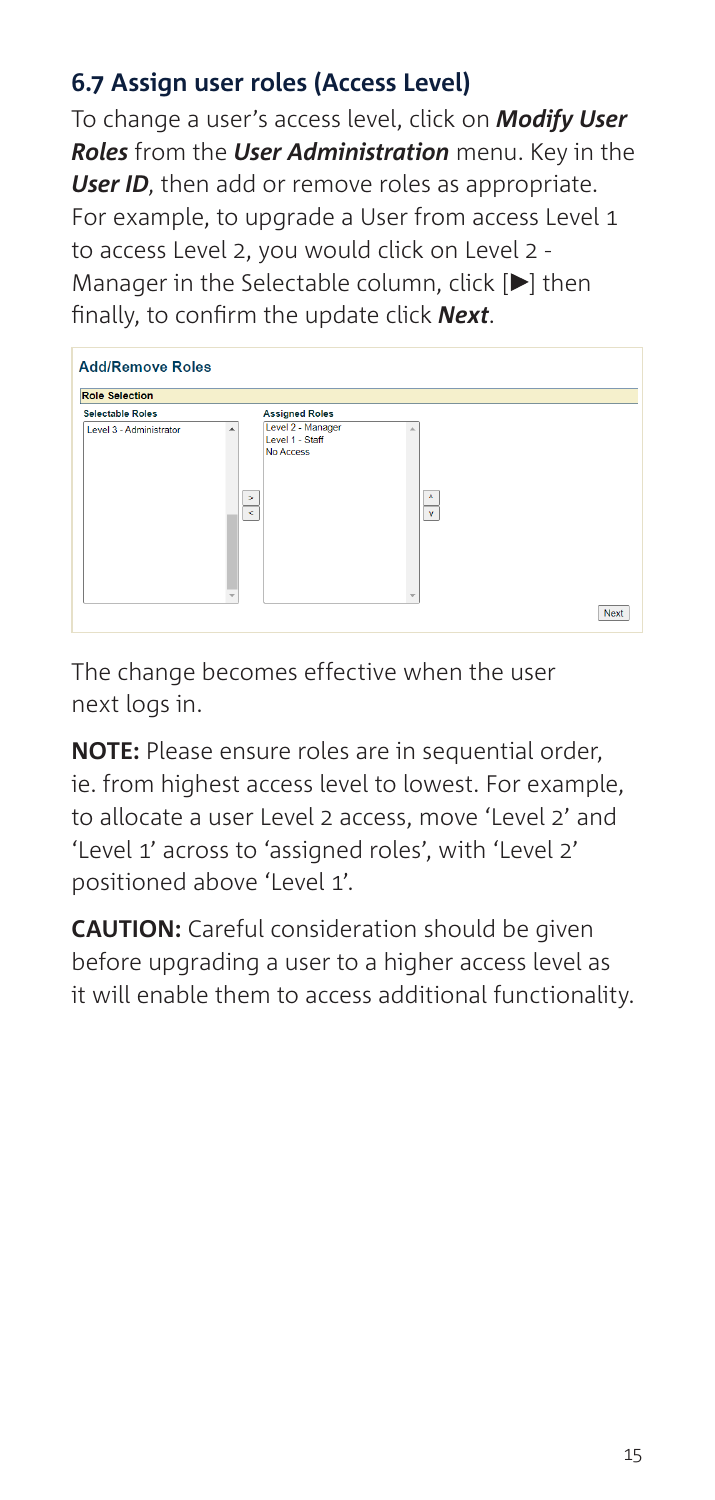### **6.7 Assign user roles (Access Level)**

To change a user's access level, click on *Modify User Roles* from the *User Administration* menu. Key in the *User ID*, then add or remove roles as appropriate. For example, to upgrade a User from access Level 1 to access Level 2, you would click on Level 2 - Manager in the Selectable column, click  $[ \blacktriangleright]$  then finally, to confirm the update click *Next*.

| <b>Role Selection</b>   |  |                                                                 |                   |  |  |  |
|-------------------------|--|-----------------------------------------------------------------|-------------------|--|--|--|
| <b>Selectable Roles</b> |  | <b>Assigned Roles</b>                                           |                   |  |  |  |
| Level 3 - Administrator |  | Level 2 - Manager<br>Level 1 - Staff<br>No Access<br>s<br>$\,<$ | ٨<br>$\mathbf{v}$ |  |  |  |

The change becomes effective when the user next logs in.

**NOTE:** Please ensure roles are in sequential order, ie. from highest access level to lowest. For example, to allocate a user Level 2 access, move 'Level 2' and 'Level 1' across to 'assigned roles', with 'Level 2' positioned above 'Level 1'.

**CAUTION:** Careful consideration should be given before upgrading a user to a higher access level as it will enable them to access additional functionality.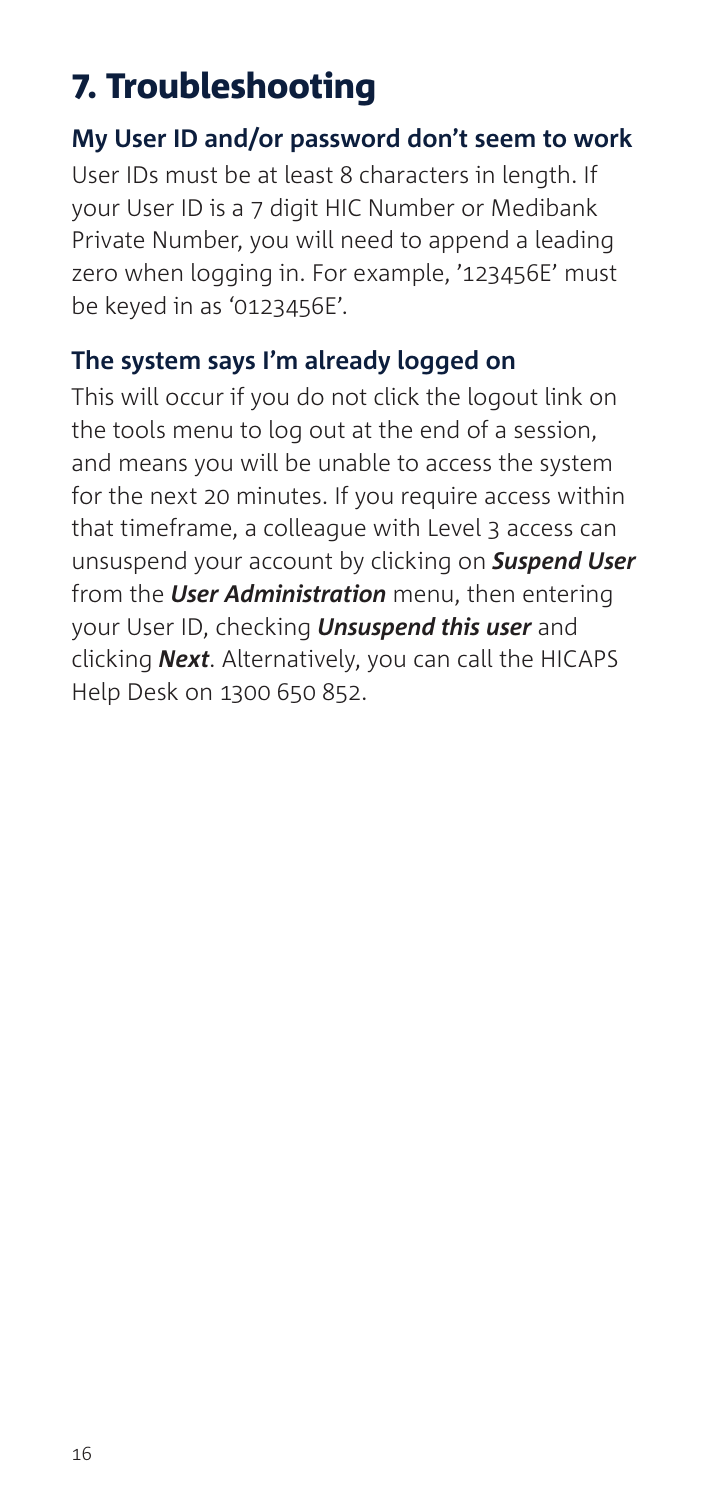# 7. Troubleshooting

#### **My User ID and/or password don't seem to work**

User IDs must be at least 8 characters in length. If your User ID is a 7 digit HIC Number or Medibank Private Number, you will need to append a leading zero when logging in. For example, '123456E' must be keyed in as '0123456E'.

#### **The system says I'm already logged on**

This will occur if you do not click the logout link on the tools menu to log out at the end of a session, and means you will be unable to access the system for the next 20 minutes. If you require access within that timeframe, a colleague with Level 3 access can unsuspend your account by clicking on *Suspend User*  from the *User Administration* menu, then entering your User ID, checking *Unsuspend this user* and clicking *Next*. Alternatively, you can call the HICAPS Help Desk on 1300 650 852.